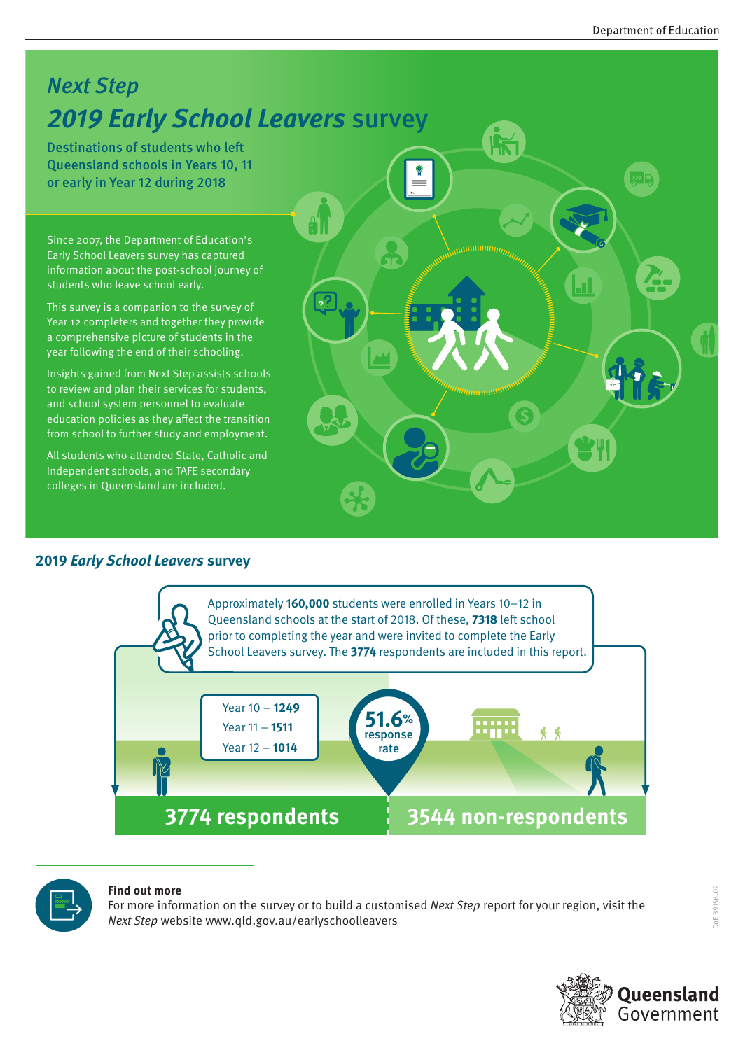### Next Step **2019 Early School Leavers** survey

Destinations of students who left Queensland schools in Years 10, 11 or early in Year 12 during 2018

Since 2007, the Department of Education's Early School Leavers survey has captured information about the post-school journey of students who leave school early.

This survey is a companion to the survey of Year 12 completers and together they provide a comprehensive picture of students in the year following the end of their schooling.

Insights gained from Next Step assists schools to review and plan their services for students, and school system personnel to evaluate education policies as they affect the transition from school to further study and employment.

All students who attended State, Catholic and Independent schools, and TAFE secondary colleges in Queensland are included.

#### **2019 Early School Leavers survey**





#### **Find out more**

For more information on the survey or to build a customised Next Step report for your region, visit the Next Step website www.qld.gov.au/earlyschoolleavers

DoE 39156.02

OC 39156.02

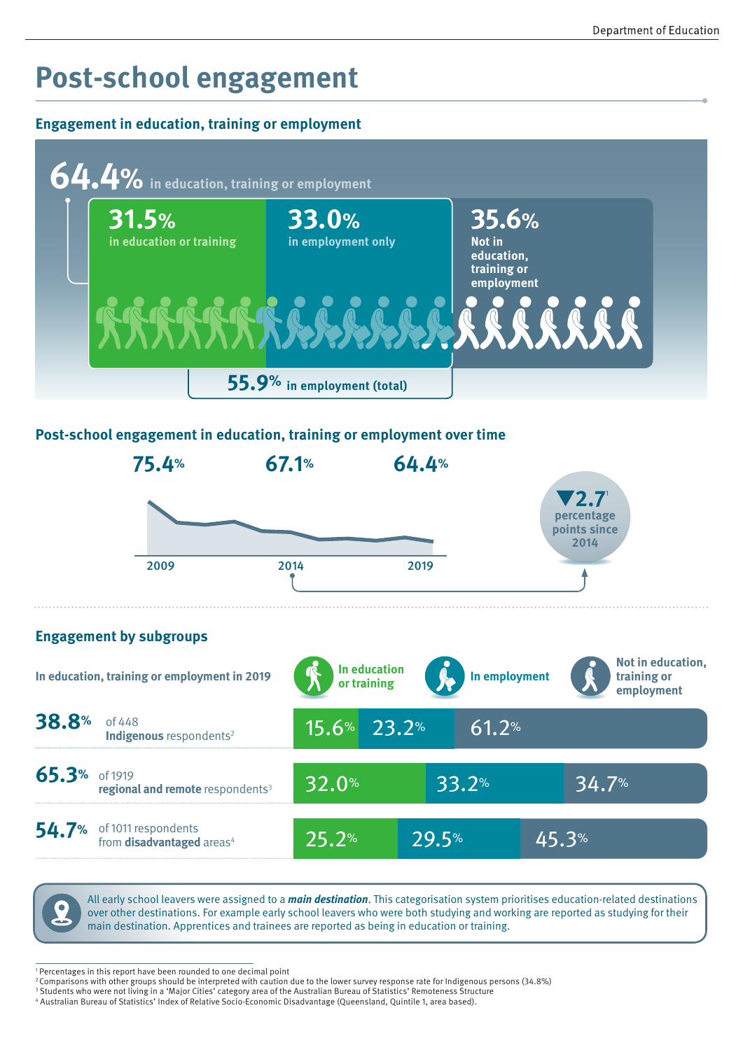## **Post-school engagement**

#### **Engagement in education, training or employment**



#### **Post-school engagement in education, training or employment over time**



54.7% of 1011 respondents from **disadvantaged** areas<sup>4</sup>



29.5% 45.3%

1 Percentages in this report have been rounded to one decimal point

25.2%

<sup>2</sup> Comparisons with other groups should be interpreted with caution due to the lower survey response rate for Indigenous persons (34.8%)

<sup>&</sup>lt;sup>3</sup> Students who were not living in a 'Major Cities' category area of the Australian Bureau of Statistics' Remoteness Structure

<sup>4</sup> Australian Bureau of Statistics' Index of Relative Socio-Economic Disadvantage (Queensland, Quintile 1, area based).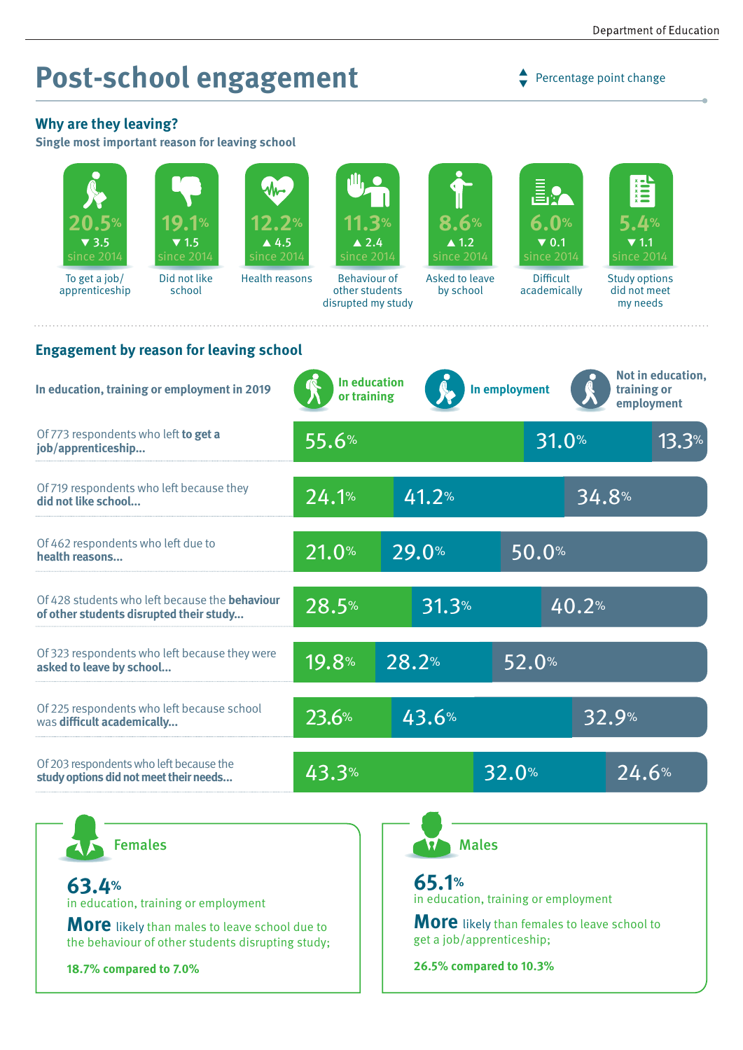## **Post-school engagement**

 $\rightarrow$  Percentage point change

#### **Why are they leaving?**

**Single most important reason for leaving school**

| <b>19.1%</b><br>20.5%<br>12.2%<br>$\triangle 4.5$<br>$\blacktriangledown$ 3.5<br>$\blacktriangledown$ 1.5<br>since 2014<br>since 2014<br>since 2014<br>Did not like<br><b>Health reasons</b><br>To get a job/<br>school<br>apprenticeship | 11.3%<br>$\blacktriangle$ 2.4<br>since 2014<br><b>Behaviour of</b><br>other students<br>disrupted my study | 8.6%<br>$\blacktriangle$ 1.2<br>since 2014<br>Asked to leave<br>by school       | E.<br>6.0%<br>$\blacktriangledown$ 0.1<br>since 2014<br><b>Difficult</b><br>academically | $\sum_{x=1}^{x}$<br>5.4%<br>$\blacktriangledown$ 1.1<br>since 2014<br><b>Study options</b><br>did not meet<br>my needs |
|-------------------------------------------------------------------------------------------------------------------------------------------------------------------------------------------------------------------------------------------|------------------------------------------------------------------------------------------------------------|---------------------------------------------------------------------------------|------------------------------------------------------------------------------------------|------------------------------------------------------------------------------------------------------------------------|
| <b>Engagement by reason for leaving school</b>                                                                                                                                                                                            | In education                                                                                               |                                                                                 |                                                                                          | Not in education,                                                                                                      |
| In education, training or employment in 2019                                                                                                                                                                                              | or training                                                                                                |                                                                                 | In employment                                                                            | training or<br>employment                                                                                              |
| Of 773 respondents who left to get a<br>job/apprenticeship                                                                                                                                                                                | 55.6%                                                                                                      |                                                                                 | 31.0%                                                                                    | 13.3%                                                                                                                  |
| Of 719 respondents who left because they<br>did not like school                                                                                                                                                                           | 24.1%                                                                                                      | 41.2%                                                                           |                                                                                          | 34.8%                                                                                                                  |
| Of 462 respondents who left due to<br>health reasons                                                                                                                                                                                      | 21.0%                                                                                                      | 29.0%                                                                           | 50.0%                                                                                    |                                                                                                                        |
| Of 428 students who left because the <b>behaviour</b><br>of other students disrupted their study                                                                                                                                          | 28.5%                                                                                                      | 31.3%                                                                           |                                                                                          | 40.2%                                                                                                                  |
| Of 323 respondents who left because they were<br>asked to leave by school                                                                                                                                                                 | 19.8%                                                                                                      | 28.2%                                                                           | 52.0%                                                                                    |                                                                                                                        |
| Of 225 respondents who left because school<br>was difficult academically                                                                                                                                                                  | 23.6%                                                                                                      | 43.6%                                                                           |                                                                                          | 32.9%                                                                                                                  |
| Of 203 respondents who left because the<br>study options did not meet their needs                                                                                                                                                         | 43.3%                                                                                                      |                                                                                 | 32.0%                                                                                    | 24.6%                                                                                                                  |
| <b>Females</b>                                                                                                                                                                                                                            |                                                                                                            |                                                                                 | <b>Males</b>                                                                             |                                                                                                                        |
|                                                                                                                                                                                                                                           |                                                                                                            |                                                                                 |                                                                                          |                                                                                                                        |
| 63.4%<br>in education, training or employment                                                                                                                                                                                             |                                                                                                            | 65.1%<br>in education, training or employment                                   |                                                                                          |                                                                                                                        |
| <b>More</b> likely than males to leave school due to<br>the behaviour of other students disrupting study;                                                                                                                                 |                                                                                                            | <b>More</b> likely than females to leave school to<br>get a job/apprenticeship; |                                                                                          |                                                                                                                        |
| 18.7% compared to 7.0%                                                                                                                                                                                                                    |                                                                                                            | 26.5% compared to 10.3%                                                         |                                                                                          |                                                                                                                        |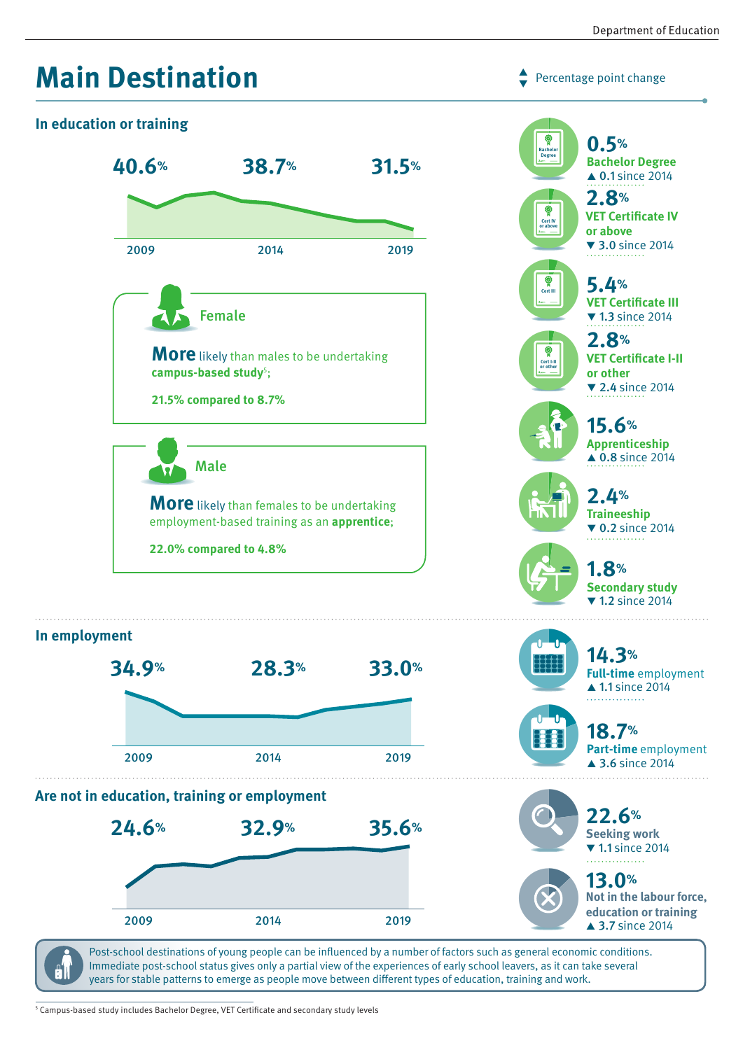Percentage point change

 $\blacktriangledown$ 







years for stable patterns to emerge as people move between different types of education, training and work.

5 Campus-based study includes Bachelor Degree, VET Certificate and secondary study levels

91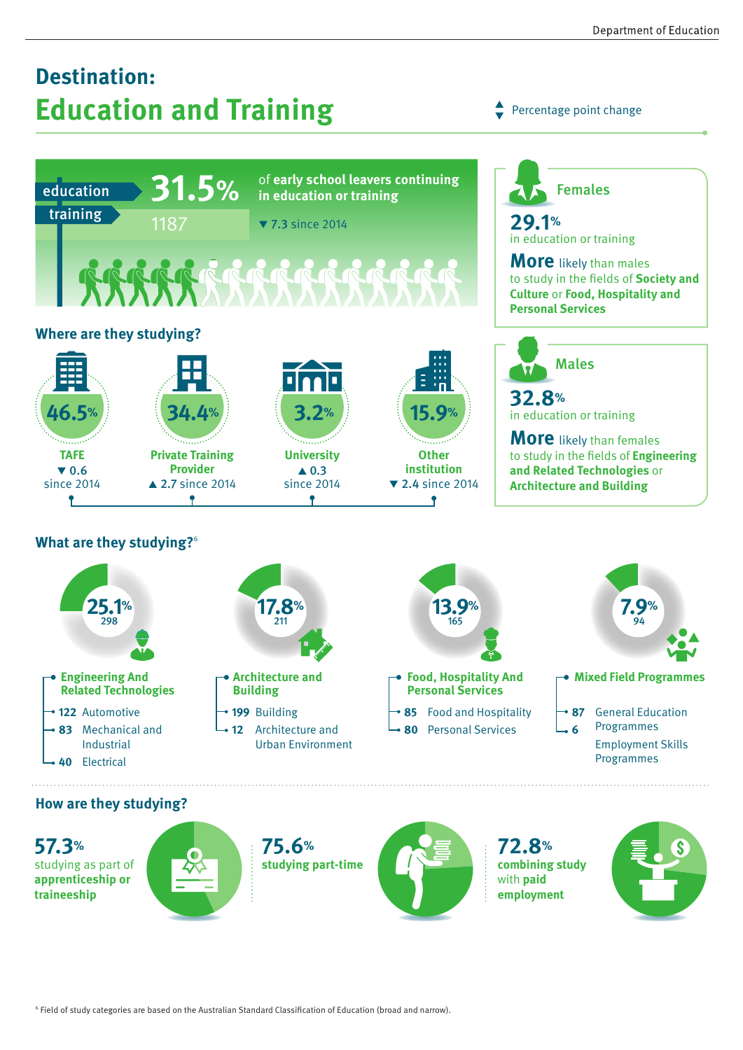## **Destination: Education and Training**

Percentage point change  $\blacktriangledown$ 

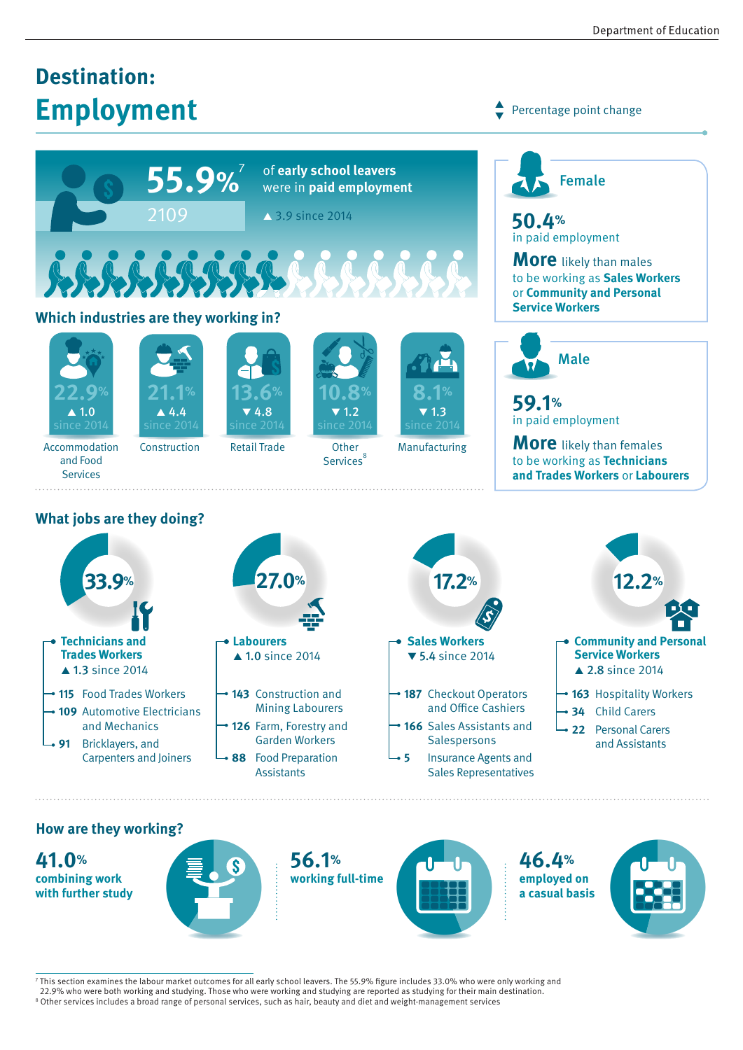## **Destination: Employment**



#### **Which industries are they working in?**







Retail Trade





Percentage point change

 $\blacktriangledown$ 



in paid employment

**More** likely than males to be working as **Sales Workers** or **Community and Personal Service Workers**



**59.1%** in paid employment

**More** likely than females to be working as **Technicians and Trades Workers** or **Labourers**

Accommodation and Food Services

Construction

**Other** Services<sup>8</sup>



### **What jobs are they doing?**



#### **How are they working?**

**41.0% combining work with further study**



**56.1% working full-time**



**46.4% employed on a casual basis** 



<sup>7</sup> This section examines the labour market outcomes for all early school leavers. The 55.9% figure includes 33.0% who were only working and

<sup>22.9%</sup> who were both working and studying. Those who were working and studying are reported as studying for their main destination.<br>8 Other services includes a broad range of personal services, such as hair, beauty and diet